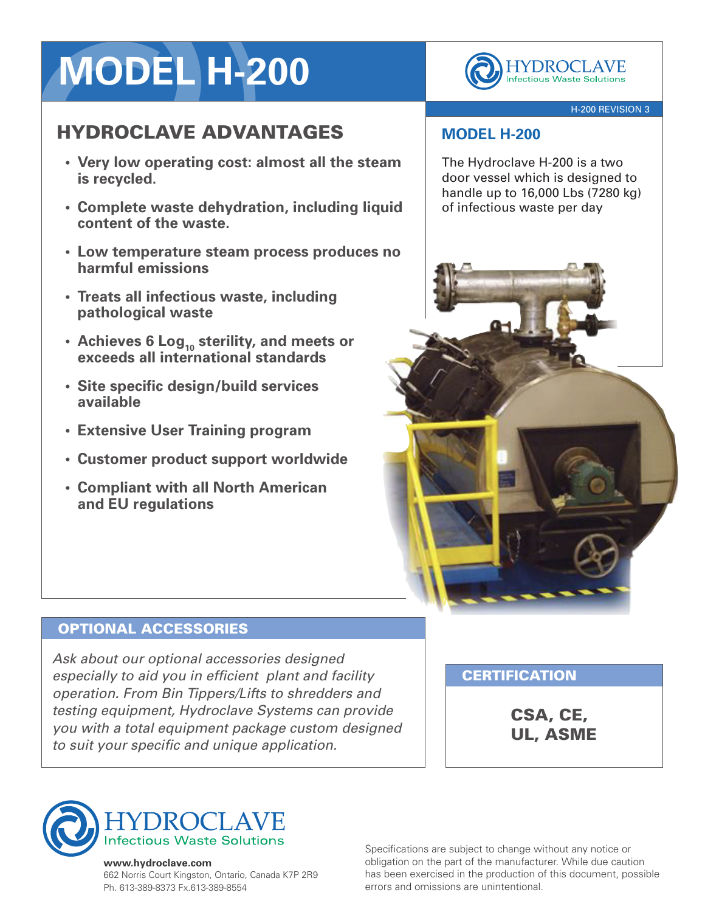# **MODEL H-200**

## HYDROCLAVE ADVANTAGES

- **• Very low operating cost: almost all the steam is recycled.**
- **• Complete waste dehydration, including liquid content of the waste.**
- **• Low temperature steam process produces no harmful emissions**
- **• Treats all infectious waste, including pathological waste**
- **• Achieves 6 Log<sup>10</sup> sterility, and meets or exceeds all international standards**
- **• Site specific design/build services available**
- **• Extensive User Training program**
- **• Customer product support worldwide**
- **• Compliant with all North American and EU regulations**

#### OPTIONAL ACCESSORIES

*Ask about our optional accessories designed especially to aid you in efficient plant and facility operation. From Bin Tippers/Lifts to shredders and testing equipment, Hydroclave Systems can provide you with a total equipment package custom designed to suit your specific and unique application.*

**CERTIFICATION** 

CSA, CE, UL, ASME



## **MODEL H-200**

The Hydroclave H-200 is a two door vessel which is designed to handle up to 16,000 Lbs (7280 kg) of infectious waste per day

YDROCLAVE **Infectious Waste Solutions** 

#### **www.hydroclave.com**

662 Norris Court Kingston, Ontario, Canada K7P 2R9 Ph. 613-389-8373 Fx.613-389-8554

Specifications are subject to change without any notice or obligation on the part of the manufacturer. While due caution has been exercised in the production of this document, possible errors and omissions are unintentional.